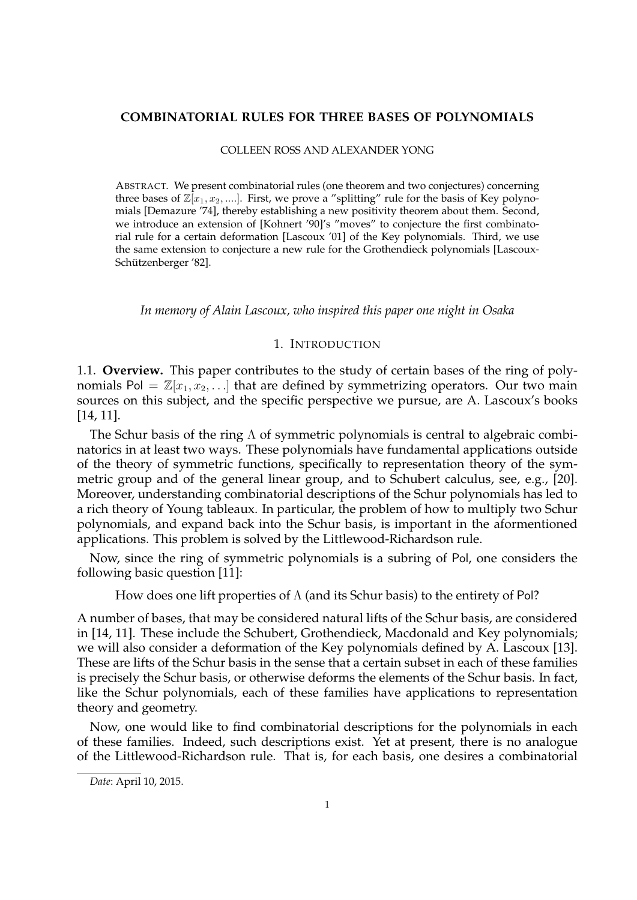#### **COMBINATORIAL RULES FOR THREE BASES OF POLYNOMIALS**

#### COLLEEN ROSS AND ALEXANDER YONG

ABSTRACT. We present combinatorial rules (one theorem and two conjectures) concerning three bases of  $\mathbb{Z}[x_1, x_2, \ldots]$ . First, we prove a "splitting" rule for the basis of Key polynomials [Demazure '74], thereby establishing a new positivity theorem about them. Second, we introduce an extension of [Kohnert '90]'s "moves" to conjecture the first combinatorial rule for a certain deformation [Lascoux '01] of the Key polynomials. Third, we use the same extension to conjecture a new rule for the Grothendieck polynomials [Lascoux-Schützenberger '82].

*In memory of Alain Lascoux, who inspired this paper one night in Osaka*

## 1. INTRODUCTION

1.1. **Overview.** This paper contributes to the study of certain bases of the ring of polynomials Pol =  $\mathbb{Z}[x_1, x_2, \ldots]$  that are defined by symmetrizing operators. Our two main sources on this subject, and the specific perspective we pursue, are A. Lascoux's books [14, 11].

The Schur basis of the ring  $\Lambda$  of symmetric polynomials is central to algebraic combinatorics in at least two ways. These polynomials have fundamental applications outside of the theory of symmetric functions, specifically to representation theory of the symmetric group and of the general linear group, and to Schubert calculus, see, e.g., [20]. Moreover, understanding combinatorial descriptions of the Schur polynomials has led to a rich theory of Young tableaux. In particular, the problem of how to multiply two Schur polynomials, and expand back into the Schur basis, is important in the aformentioned applications. This problem is solved by the Littlewood-Richardson rule.

Now, since the ring of symmetric polynomials is a subring of Pol, one considers the following basic question [11]:

How does one lift properties of Λ (and its Schur basis) to the entirety of Pol?

A number of bases, that may be considered natural lifts of the Schur basis, are considered in [14, 11]. These include the Schubert, Grothendieck, Macdonald and Key polynomials; we will also consider a deformation of the Key polynomials defined by A. Lascoux [13]. These are lifts of the Schur basis in the sense that a certain subset in each of these families is precisely the Schur basis, or otherwise deforms the elements of the Schur basis. In fact, like the Schur polynomials, each of these families have applications to representation theory and geometry.

Now, one would like to find combinatorial descriptions for the polynomials in each of these families. Indeed, such descriptions exist. Yet at present, there is no analogue of the Littlewood-Richardson rule. That is, for each basis, one desires a combinatorial

*Date*: April 10, 2015.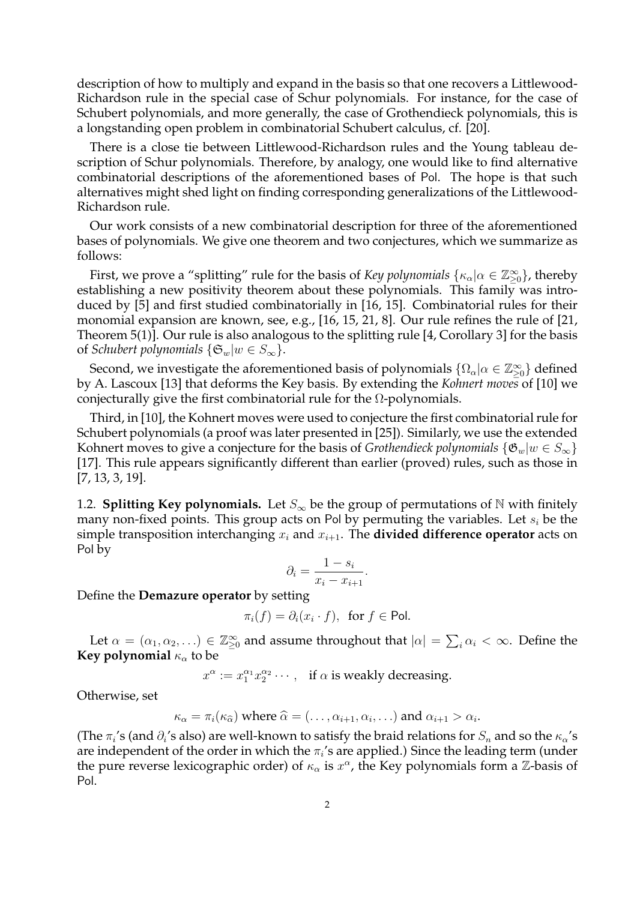description of how to multiply and expand in the basis so that one recovers a Littlewood-Richardson rule in the special case of Schur polynomials. For instance, for the case of Schubert polynomials, and more generally, the case of Grothendieck polynomials, this is a longstanding open problem in combinatorial Schubert calculus, cf. [20].

There is a close tie between Littlewood-Richardson rules and the Young tableau description of Schur polynomials. Therefore, by analogy, one would like to find alternative combinatorial descriptions of the aforementioned bases of Pol. The hope is that such alternatives might shed light on finding corresponding generalizations of the Littlewood-Richardson rule.

Our work consists of a new combinatorial description for three of the aforementioned bases of polynomials. We give one theorem and two conjectures, which we summarize as follows:

First, we prove a "splitting" rule for the basis of *Key polynomials*  $\{\kappa_\alpha|\alpha\in\mathbb{Z}_{\geq 0}^\infty\}$ , thereby establishing a new positivity theorem about these polynomials. This family was introduced by [5] and first studied combinatorially in [16, 15]. Combinatorial rules for their monomial expansion are known, see, e.g., [16, 15, 21, 8]. Our rule refines the rule of [21, Theorem 5(1)]. Our rule is also analogous to the splitting rule [4, Corollary 3] for the basis of *Schubert polynomials*  $\{\mathfrak{S}_w|w \in S_{\infty}\}.$ 

Second, we investigate the aforementioned basis of polynomials  $\{\Omega_\alpha | \alpha \in \mathbb{Z}_{\geq 0}^\infty\}$  defined by A. Lascoux [13] that deforms the Key basis. By extending the *Kohnert moves* of [10] we conjecturally give the first combinatorial rule for the  $\Omega$ -polynomials.

Third, in [10], the Kohnert moves were used to conjecture the first combinatorial rule for Schubert polynomials (a proof was later presented in [25]). Similarly, we use the extended Kohnert moves to give a conjecture for the basis of *Grothendieck polynomials*  $\{\mathfrak{G}_w|w \in S_{\infty}\}\$ [17]. This rule appears significantly different than earlier (proved) rules, such as those in [7, 13, 3, 19].

1.2. **Splitting Key polynomials.** Let  $S_{\infty}$  be the group of permutations of N with finitely many non-fixed points. This group acts on Pol by permuting the variables. Let  $s_i$  be the simple transposition interchanging  $x_i$  and  $x_{i+1}$ . The **divided difference operator** acts on Pol by

$$
\partial_i = \frac{1 - s_i}{x_i - x_{i+1}}.
$$

Define the **Demazure operator** by setting

$$
\pi_i(f) = \partial_i(x_i \cdot f), \text{ for } f \in \text{Pol}.
$$

Let  $\alpha = (\alpha_1, \alpha_2, ...) \in \mathbb{Z}_{\geq 0}^{\infty}$  and assume throughout that  $|\alpha| = \sum_i \alpha_i < \infty$ . Define the **Key polynomial**  $\kappa_{\alpha}$  to be

 $x^{\alpha} := x_1^{\alpha_1} x_2^{\alpha_2} \cdots$ , if  $\alpha$  is weakly decreasing.

Otherwise, set

 $\kappa_{\alpha} = \pi_i(\kappa_{\widehat{\alpha}})$  where  $\widehat{\alpha} = (\ldots, \alpha_{i+1}, \alpha_i, \ldots)$  and  $\alpha_{i+1} > \alpha_i$ .

(The  $\pi_i$ 's (and  $\partial_i$ 's also) are well-known to satisfy the braid relations for  $S_n$  and so the  $\kappa_\alpha$ 's are independent of the order in which the  $\pi_i$ 's are applied.) Since the leading term (under the pure reverse lexicographic order) of  $\kappa_{\alpha}$  is  $x^{\alpha}$ , the Key polynomials form a Z-basis of Pol.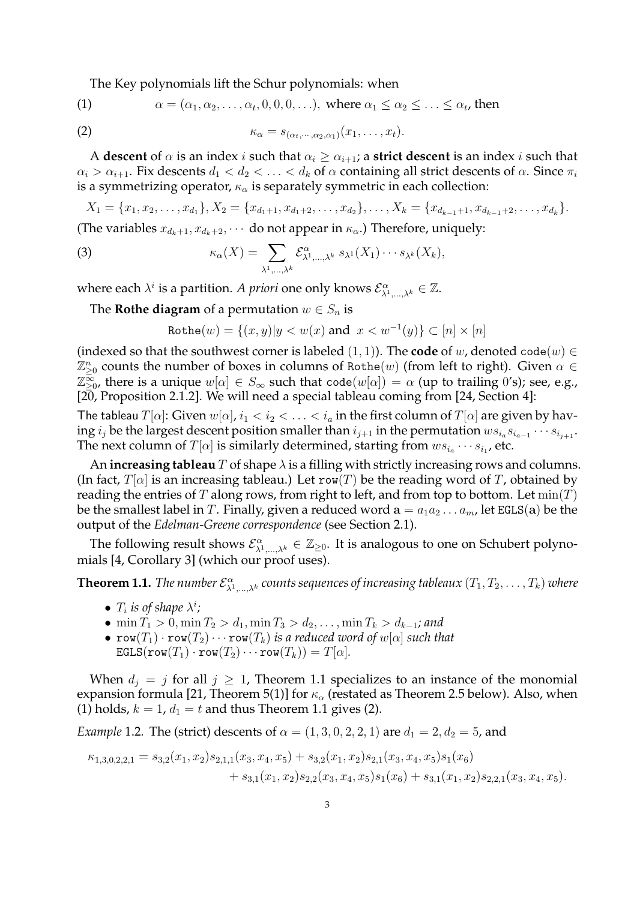The Key polynomials lift the Schur polynomials: when

(1) 
$$
\alpha = (\alpha_1, \alpha_2, \dots, \alpha_t, 0, 0, 0, \dots), \text{ where } \alpha_1 \leq \alpha_2 \leq \dots \leq \alpha_t, \text{ then}
$$

(2) 
$$
\kappa_{\alpha} = s_{(\alpha_t, \cdots, \alpha_2, \alpha_1)}(x_1, \ldots, x_t).
$$

A **descent** of  $\alpha$  is an index *i* such that  $\alpha_i \geq \alpha_{i+1}$ ; a **strict descent** is an index *i* such that  $\alpha_i > \alpha_{i+1}$ . Fix descents  $d_1 < d_2 < \ldots < d_k$  of  $\alpha$  containing all strict descents of  $\alpha$ . Since  $\pi_i$ is a symmetrizing operator,  $\kappa_{\alpha}$  is separately symmetric in each collection:

 $X_1 = \{x_1, x_2, \ldots, x_{d_1}\}, X_2 = \{x_{d_1+1}, x_{d_1+2}, \ldots, x_{d_2}\}, \ldots, X_k = \{x_{d_{k-1}+1}, x_{d_{k-1}+2}, \ldots, x_{d_k}\}.$ (The variables  $x_{d_k+1}, x_{d_k+2}, \cdots$  do not appear in  $\kappa_\alpha$ .) Therefore, uniquely:

(3) 
$$
\kappa_{\alpha}(X) = \sum_{\lambda^1,\dots,\lambda^k} \mathcal{E}^{\alpha}_{\lambda^1,\dots,\lambda^k} s_{\lambda^1}(X_1) \cdots s_{\lambda^k}(X_k),
$$

where each  $\lambda^i$  is a partition. *A priori* one only knows  $\mathcal{E}^{\alpha}_{\lambda^1,\dots,\lambda^k} \in \mathbb{Z}$ .

The **Rothe diagram** of a permutation  $w \in S_n$  is

$$
\mathtt{Rothe}(w) = \{(x, y) | y < w(x) \text{ and } x < w^{-1}(y)\} \subset [n] \times [n]
$$

(indexed so that the southwest corner is labeled  $(1, 1)$ ). The **code** of w, denoted code $(w) \in$  $\mathbb{Z}_{\geq 0}^n$  counts the number of boxes in columns of Rothe $(w)$  (from left to right). Given  $\alpha \in \mathbb{Z}_+^n$  $\Z_{\geq 0}^{\overline{\infty}}$ , there is a unique  $w[\alpha]\in S_\infty$  such that  $\verb+code+(w[\alpha])=\alpha$  (up to trailing  $0$ 's); see, e.g., [20, Proposition 2.1.2]. We will need a special tableau coming from [24, Section 4]:

The tableau  $T[\alpha]$ : Given  $w[\alpha]$ ,  $i_1 < i_2 < \ldots < i_a$  in the first column of  $T[\alpha]$  are given by having  $i_j$  be the largest descent position smaller than  $i_{j+1}$  in the permutation  $ws_{i_a}s_{i_{a-1}}\cdots s_{i_{j+1}}$ . The next column of  $T[\alpha]$  is similarly determined, starting from  $ws_{i_a} \cdots s_{i_1}$ , etc.

An **increasing tableau**  $T$  of shape  $\lambda$  is a filling with strictly increasing rows and columns. (In fact,  $T[\alpha]$  is an increasing tableau.) Let row(T) be the reading word of T, obtained by reading the entries of T along rows, from right to left, and from top to bottom. Let  $min(T)$ be the smallest label in T. Finally, given a reduced word  $\mathbf{a} = a_1 a_2 \dots a_m$ , let EGLS(a) be the output of the *Edelman-Greene correspondence* (see Section 2.1).

The following result shows  $\mathcal{E}^{\alpha}_{\lambda^1,\dots,\lambda^k}\in\mathbb{Z}_{\geq 0}$ . It is analogous to one on Schubert polynomials [4, Corollary 3] (which our proof uses).

**Theorem 1.1.** *The number*  $\mathcal{E}^{\alpha}_{\lambda^1,...,\lambda^k}$  *counts sequences of increasing tableaux*  $(T_1,T_2,\ldots,T_k)$  *where* 

- $T_i$  *is of shape*  $\lambda^i$ *;*
- min  $T_1 > 0$ , min  $T_2 > d_1$ , min  $T_3 > d_2$ , ..., min  $T_k > d_{k-1}$ ; and
- $\text{row}(T_1) \cdot \text{row}(T_2) \cdots \text{row}(T_k)$  *is a reduced word of*  $w[\alpha]$  *such that*  $\texttt{EGLS}(\texttt{row}(T_1)\cdot\texttt{row}(T_2)\cdots\texttt{row}(T_k))=T[\alpha].$

When  $d_j = j$  for all  $j \ge 1$ , Theorem 1.1 specializes to an instance of the monomial expansion formula [21, Theorem 5(1)] for  $\kappa_{\alpha}$  (restated as Theorem 2.5 below). Also, when (1) holds,  $k = 1$ ,  $d_1 = t$  and thus Theorem 1.1 gives (2).

*Example* 1.2. The (strict) descents of  $\alpha = (1, 3, 0, 2, 2, 1)$  are  $d_1 = 2, d_2 = 5$ , and

$$
\kappa_{1,3,0,2,2,1} = s_{3,2}(x_1,x_2)s_{2,1,1}(x_3,x_4,x_5) + s_{3,2}(x_1,x_2)s_{2,1}(x_3,x_4,x_5)s_1(x_6) + s_{3,1}(x_1,x_2)s_{2,2}(x_3,x_4,x_5)s_1(x_6) + s_{3,1}(x_1,x_2)s_{2,2,1}(x_3,x_4,x_5).
$$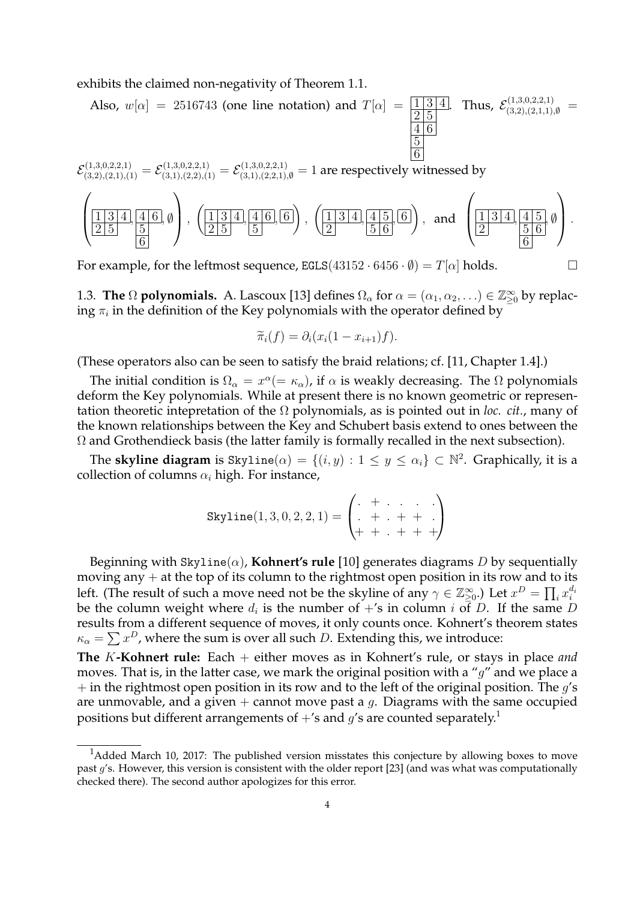exhibits the claimed non-negativity of Theorem 1.1.

Also, 
$$
w[\alpha] = 2516743
$$
 (one line notation) and  $T[\alpha] = \frac{1}{2} \frac{3}{5} \frac{4}{6}$ . Thus,  $\mathcal{E}^{(1,3,0,2,2,1)}_{(3,2),(2,1,1),\emptyset} = \frac{\frac{1}{2} \frac{3}{5}}{\frac{5}{6}}$ 

 $\mathcal E_{(3,2),(2,1),(1)}^{(1,3,0,2,2,1)}=\mathcal E_{(3,1),(2,2),(1)}^{(1,3,0,2,2,1)}=\mathcal E_{(3,1),(2,2,1),\emptyset}^{(1,3,0,2,2,1)}=1$  are respectively witnessed by

$$
\left(\underline{\frac{11314}{25}}, \frac{416}{5}, \emptyset\right), \left(\underline{\frac{11314}{25}}, \frac{416}{5}, \frac{6}{5}\right), \left(\underline{\frac{11314}{2}}, \frac{415}{56}, \frac{6}{5}\right), \text{ and } \left(\underline{\frac{11314}{2}}, \frac{415}{56}, \emptyset\right).
$$

For example, for the leftmost sequence,  $EGLS(43152 \cdot 6456 \cdot \emptyset) = T[\alpha]$  holds.

1.3. **The**  $\Omega$  **polynomials.** A. Lascoux [13] defines  $\Omega_{\alpha}$  for  $\alpha = (\alpha_1, \alpha_2, ...) \in \mathbb{Z}_{\geq 0}^{\infty}$  by replacing  $\pi_i$  in the definition of the Key polynomials with the operator defined by

$$
\widetilde{\pi}_i(f) = \partial_i(x_i(1-x_{i+1})f).
$$

(These operators also can be seen to satisfy the braid relations; cf. [11, Chapter 1.4].)

The initial condition is  $\Omega_{\alpha} = x^{\alpha} (= \kappa_{\alpha})$ , if  $\alpha$  is weakly decreasing. The  $\Omega$  polynomials deform the Key polynomials. While at present there is no known geometric or representation theoretic intepretation of the Ω polynomials, as is pointed out in *loc. cit.*, many of the known relationships between the Key and Schubert basis extend to ones between the  $\Omega$  and Grothendieck basis (the latter family is formally recalled in the next subsection).

The **skyline diagram** is  $\text{Skyline}(\alpha) = \{(i, y) : 1 \le y \le \alpha_i\} \subset \mathbb{N}^2$ . Graphically, it is a collection of columns  $\alpha_i$  high. For instance,

$$
\text{Skyline}(1, 3, 0, 2, 2, 1) = \begin{pmatrix} + & \cdots & \cdots \\ + & \cdots & + & + \\ + & \cdots & + & + & + \end{pmatrix}
$$

Beginning with  $\text{Skyline}(\alpha)$ , **Kohnert's rule** [10] generates diagrams D by sequentially moving any  $+$  at the top of its column to the rightmost open position in its row and to its left. (The result of such a move need not be the skyline of any  $\gamma \in \mathbb{Z}_{\geq 0}^{\infty}$ .) Let  $x^D = \prod_i x_i^{d_i}$ be the column weight where  $d_i$  is the number of  $+$ 's in column  $i$  of  $D$ . If the same  $D$ results from a different sequence of moves, it only counts once. Kohnert's theorem states  $\kappa_{\alpha} = \sum x^D$ , where the sum is over all such D. Extending this, we introduce:

**The** K**-Kohnert rule:** Each + either moves as in Kohnert's rule, or stays in place *and* moves. That is, in the latter case, we mark the original position with a " $g$ " and we place a  $+$  in the rightmost open position in its row and to the left of the original position. The  $g$ 's are unmovable, and a given  $+$  cannot move past a g. Diagrams with the same occupied positions but different arrangements of  $+$ 's and  $g$ 's are counted separately.<sup>1</sup>

<sup>&</sup>lt;sup>1</sup>Added March 10, 2017: The published version misstates this conjecture by allowing boxes to move past g's. However, this version is consistent with the older report [23] (and was what was computationally checked there). The second author apologizes for this error.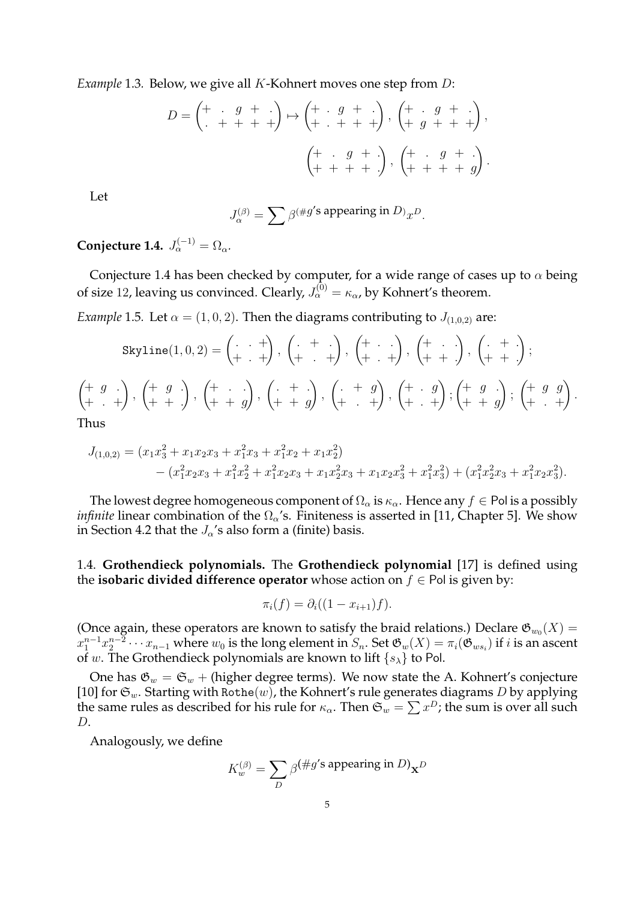*Example* 1.3*.* Below, we give all K-Kohnert moves one step from D:

$$
D = \begin{pmatrix} + & g & + \\ + & + & + \end{pmatrix} \mapsto \begin{pmatrix} + & g & + \\ + & + & + \end{pmatrix}, \begin{pmatrix} + & g & + \\ + & g & + \end{pmatrix}, \\ \begin{pmatrix} + & g & + \\ + & + & + \end{pmatrix}, \begin{pmatrix} + & g & + \\ + & + & + \end{pmatrix}, \begin{pmatrix} + & g & + \\ + & + & + \end{pmatrix}.
$$

Let

$$
J^{(\beta)}_\alpha = \sum \beta^{(\# g'\text{s appearing in }D)}x^D.
$$

**Conjecture 1.4.**  $J_{\alpha}^{(-1)} = \Omega_{\alpha}$ .

Conjecture 1.4 has been checked by computer, for a wide range of cases up to  $\alpha$  being of size 12, leaving us convinced. Clearly,  $J_{\alpha}^{(0)} = \kappa_{\alpha}$ , by Kohnert's theorem.

*Example* 1.5*.* Let  $\alpha = (1, 0, 2)$ . Then the diagrams contributing to  $J_{(1,0,2)}$  are:

$$
Skyline(1,0,2) = \begin{pmatrix} \cdot & + \\ + & + \end{pmatrix}, \begin{pmatrix} \cdot & + \\ + & + \end{pmatrix}, \begin{pmatrix} \cdot & + \\ + & + \end{pmatrix}, \begin{pmatrix} \cdot & + \\ + & + \end{pmatrix}, \begin{pmatrix} \cdot & + \\ + & + \end{pmatrix};
$$
\n
$$
\begin{pmatrix} + & g \\ + & + \end{pmatrix}, \begin{pmatrix} + & g \\ + & + \end{pmatrix}, \begin{pmatrix} + & \cdot \\ + & + \end{pmatrix}, \begin{pmatrix} \cdot & + & g \\ + & + & g \end{pmatrix}, \begin{pmatrix} + & g \\ + & + \end{pmatrix}, \begin{pmatrix} + & g \\ + & + \end{pmatrix}, \begin{pmatrix} + & g & g \\ + & + \end{pmatrix}.
$$
\nThus

Thus

$$
J_{(1,0,2)} = (x_1x_3^2 + x_1x_2x_3 + x_1^2x_3 + x_1^2x_2 + x_1x_2^2)
$$
  
 
$$
- (x_1^2x_2x_3 + x_1^2x_2^2 + x_1^2x_2x_3 + x_1x_2^2x_3 + x_1x_2x_3^2 + x_1^2x_3^2) + (x_1^2x_2^2x_3 + x_1^2x_2x_3^2).
$$

The lowest degree homogeneous component of  $\Omega_{\alpha}$  is  $\kappa_{\alpha}$ . Hence any  $f \in$  Pol is a possibly *infinite* linear combination of the  $\Omega_{\alpha}$ 's. Finiteness is asserted in [11, Chapter 5]. We show in Section 4.2 that the  $J_{\alpha}$ 's also form a (finite) basis.

1.4. **Grothendieck polynomials.** The **Grothendieck polynomial** [17] is defined using the **isobaric divided difference operator** whose action on  $f \in$  Pol is given by:

$$
\pi_i(f) = \partial_i((1 - x_{i+1})f).
$$

(Once again, these operators are known to satisfy the braid relations.) Declare  $\mathfrak{G}_{w_0}(X)$  =  $x_1^{n-1}x_2^{n-2}\cdots x_{n-1}$  where  $w_0$  is the long element in  $S_n.$  Set  $\mathfrak{G}_w(X)=\pi_i(\mathfrak{G}_{ws_i})$  if  $i$  is an ascent of w. The Grothendieck polynomials are known to lift  $\{s_{\lambda}\}\)$  to Pol.

One has  $\mathfrak{G}_w = \mathfrak{S}_w$  + (higher degree terms). We now state the A. Kohnert's conjecture [10] for  $\mathfrak{S}_w$ . Starting with Rothe(w), the Kohnert's rule generates diagrams D by applying the same rules as described for his rule for  $\kappa_\alpha.$  Then  $\mathfrak{S}_w = \sum x^D$ ; the sum is over all such  $D$ .

Analogously, we define

$$
K^{(\beta)}_w = \sum_D \beta^{(\#g'\text{s appearing in }D)} \mathbf{x}^D
$$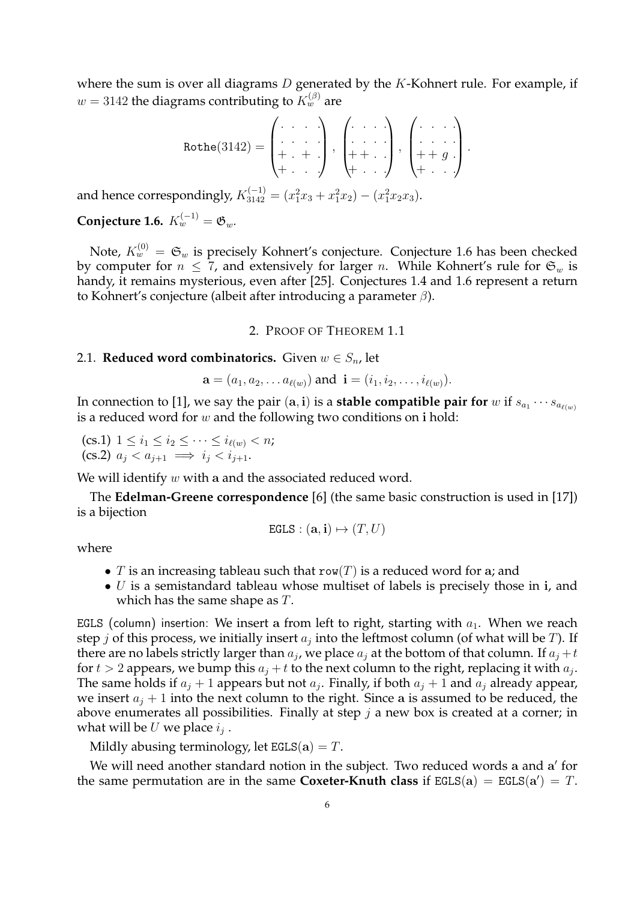where the sum is over all diagrams  $D$  generated by the  $K$ -Kohnert rule. For example, if  $w = 3142$  the diagrams contributing to  $K_w^{(\beta)}$  are

$$
\text{Rothe}(3142) = \begin{pmatrix} . & . & . \\ . & . & . \\ + & . & + \end{pmatrix}, \begin{pmatrix} . & . & . \\ . & . & . \\ + & . & . \end{pmatrix}, \begin{pmatrix} . & . & . \\ . & . & . \\ + & . & . \end{pmatrix}.
$$

and hence correspondingly,  $K_{3142}^{(-1)} = (x_1^2x_3 + x_1^2x_2) - (x_1^2x_2x_3)$ .

**Conjecture 1.6.**  $K_w^{(-1)} = \mathfrak{G}_w$ .

Note,  $K^{(0)}_w \, = \, \mathfrak{S}_w$  is precisely Kohnert's conjecture. Conjecture 1.6 has been checked by computer for  $n \leq 7$ , and extensively for larger n. While Kohnert's rule for  $\mathfrak{S}_w$  is handy, it remains mysterious, even after [25]. Conjectures 1.4 and 1.6 represent a return to Kohnert's conjecture (albeit after introducing a parameter  $β$ ).

2. PROOF OF THEOREM 1.1

## 2.1. **Reduced word combinatorics.** Given  $w \in S_n$ , let

$$
\mathbf{a} = (a_1, a_2, \dots a_{\ell(w)})
$$
 and  $\mathbf{i} = (i_1, i_2, \dots, i_{\ell(w)})$ .

In connection to [1], we say the pair  $(\mathbf{a},\mathbf{i})$  is a **stable compatible pair for**  $w$  if  $s_{a_1}\cdots s_{a_{\ell(w)}}$ is a reduced word for  $w$  and the following two conditions on i hold:

(cs.1)  $1 \leq i_1 \leq i_2 \leq \cdots \leq i_{\ell(w)} < n;$ (cs.2)  $a_i < a_{i+1} \implies i_i < i_{i+1}$ .

We will identify  $w$  with a and the associated reduced word.

The **Edelman-Greene correspondence** [6] (the same basic construction is used in [17]) is a bijection

$$
\mathtt{EGLS} : (\mathbf{a}, \mathbf{i}) \mapsto (T, U)
$$

where

- T is an increasing tableau such that  $row(T)$  is a reduced word for a; and
- $\bullet$  U is a semistandard tableau whose multiset of labels is precisely those in i, and which has the same shape as T.

EGLS (column) insertion: We insert a from left to right, starting with  $a_1$ . When we reach step  $j$  of this process, we initially insert  $a_j$  into the leftmost column (of what will be  $T$ ). If there are no labels strictly larger than  $a_j$ , we place  $a_j$  at the bottom of that column. If  $a_j + t$ for  $t > 2$  appears, we bump this  $a_j + t$  to the next column to the right, replacing it with  $a_j$ . The same holds if  $a_j + 1$  appears but not  $a_j$ . Finally, if both  $a_j + 1$  and  $a_j$  already appear, we insert  $a_i + 1$  into the next column to the right. Since a is assumed to be reduced, the above enumerates all possibilities. Finally at step  $j$  a new box is created at a corner; in what will be  $U$  we place  $i_j$  .

Mildly abusing terminology, let  $EGLS(a) = T$ .

We will need another standard notion in the subject. Two reduced words a and a' for the same permutation are in the same **Coxeter-Knuth class** if  $EGLS(a) = EGLS(a') = T$ .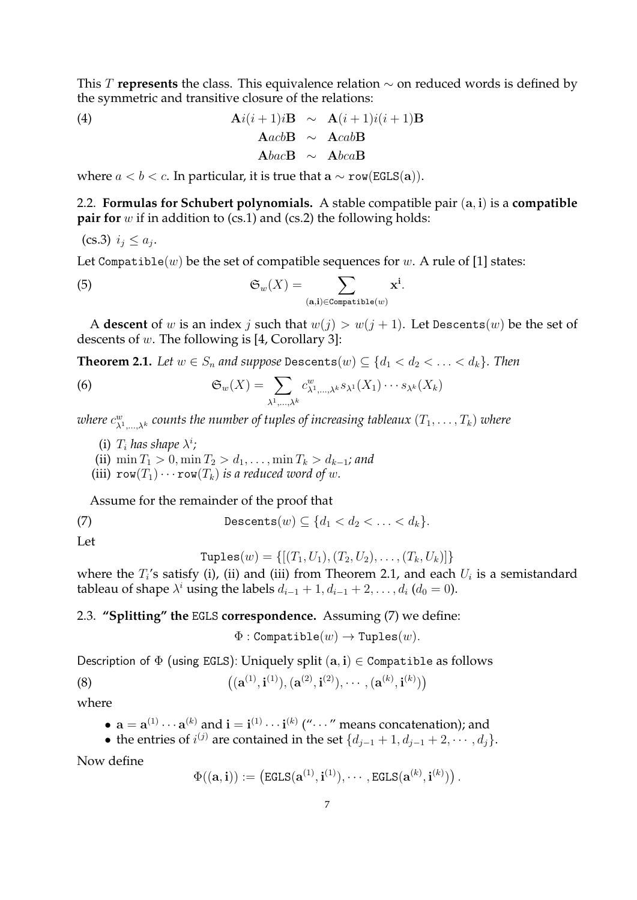This T **represents** the class. This equivalence relation ∼ on reduced words is defined by the symmetric and transitive closure of the relations:

(4) 
$$
\mathbf{A}i(i+1)i\mathbf{B} \sim \mathbf{A}(i+1)i(i+1)\mathbf{B} \n\mathbf{A}acb\mathbf{B} \sim \mathbf{A}cab\mathbf{B} \n\mathbf{A}bac\mathbf{B} \sim \mathbf{A}bca\mathbf{B}
$$

where  $a < b < c$ . In particular, it is true that  $a \sim row(EGLS(a)).$ 

2.2. **Formulas for Schubert polynomials.** A stable compatible pair (a, i) is a **compatible pair for** w if in addition to (cs.1) and (cs.2) the following holds:

$$
(cs.3) i_j \leq a_j.
$$

Let Compatible(w) be the set of compatible sequences for w. A rule of [1] states:

(5) 
$$
\mathfrak{S}_w(X) = \sum_{(\mathbf{a},\mathbf{i}) \in \text{Compatible}(w)} \mathbf{x}^{\mathbf{i}}.
$$

A **descent** of w is an index j such that  $w(j) > w(j + 1)$ . Let Descents(w) be the set of descents of w. The following is [4, Corollary 3]:

**Theorem 2.1.** *Let*  $w \in S_n$  *and suppose* Descents $(w) \subseteq \{d_1 < d_2 < \ldots < d_k\}$ *. Then* 

(6) 
$$
\mathfrak{S}_w(X) = \sum_{\lambda^1,\dots,\lambda^k} c^w_{\lambda^1,\dots,\lambda^k} s_{\lambda^1}(X_1) \cdots s_{\lambda^k}(X_k)
$$

where  $c^w_{\lambda^1,...,\lambda^k}$  counts the number of tuples of increasing tableaux  $(T_1,\ldots, T_k)$  where

- (i)  $T_i$  has shape  $\lambda^i$ ;
- (ii)  $\min T_1 > 0, \min T_2 > d_1, \ldots, \min T_k > d_{k-1}$ *; and*
- (iii)  $\text{row}(T_1)\cdots\text{row}(T_k)$  *is a reduced word of w.*

Assume for the remainder of the proof that

(7) 
$$
\text{Descents}(w) \subseteq \{d_1 < d_2 < \ldots < d_k\}.
$$

Let

Tuples
$$
(w) = \{ [(T_1, U_1), (T_2, U_2), \dots, (T_k, U_k)] \}
$$

where the  $T_i$ 's satisfy (i), (ii) and (iii) from Theorem 2.1, and each  $U_i$  is a semistandard tableau of shape  $\lambda^i$  using the labels  $d_{i-1} + 1, d_{i-1} + 2, \ldots, d_i$   $(d_0 = 0)$ .

# 2.3. **"Splitting" the** EGLS **correspondence.** Assuming (7) we define:

 $\Phi:$  Compatible $(w) \to$  Tuples $(w)$ .

Description of  $\Phi$  (using EGLS): Uniquely split  $(a, i) \in \text{Comparable}$  as follows

(8) 
$$
((a^{(1)}, i^{(1)}), (a^{(2)}, i^{(2)}), \cdots, (a^{(k)}, i^{(k)}))
$$

where

• 
$$
\mathbf{a} = \mathbf{a}^{(1)} \cdots \mathbf{a}^{(k)}
$$
 and  $\mathbf{i} = \mathbf{i}^{(1)} \cdots \mathbf{i}^{(k)}$  ("…" means concatenation); and

• the entries of  $i^{(j)}$  are contained in the set  $\{d_{j-1}+1, d_{j-1}+2, \cdots, d_j\}$ .

Now define

$$
\Phi((\mathbf{a},\mathbf{i})) := \left(\texttt{EGLS}(\mathbf{a}^{(1)},\mathbf{i}^{(1)}),\cdots,\texttt{EGLS}(\mathbf{a}^{(k)},\mathbf{i}^{(k)})\right).
$$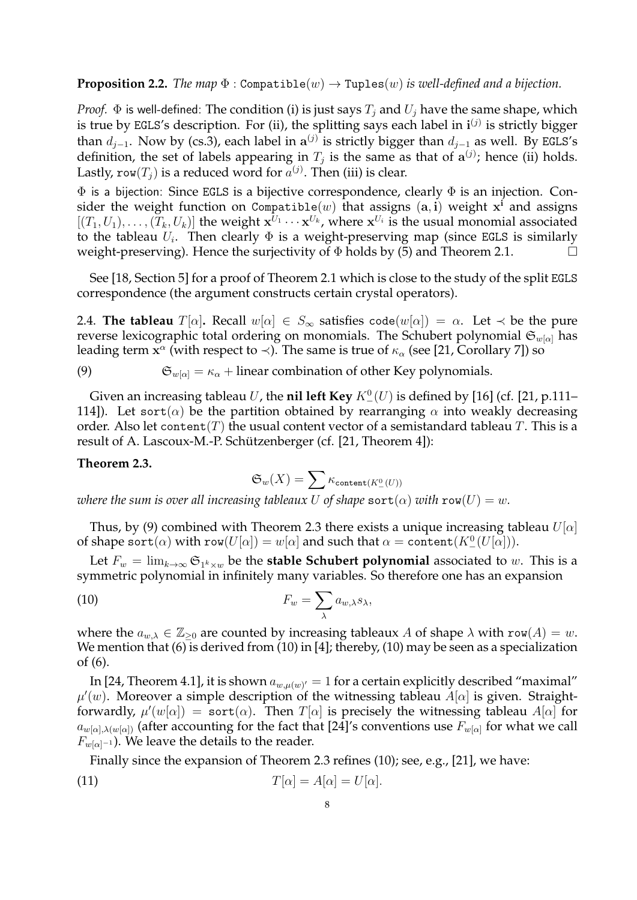**Proposition 2.2.** *The map*  $\Phi$ : Compatible(w)  $\rightarrow$  Tuples(w) *is well-defined and a bijection.* 

*Proof.*  $\Phi$  is well-defined: The condition (i) is just says  $T_i$  and  $U_i$  have the same shape, which is true by EGLS's description. For (ii), the splitting says each label in  $\mathbf{i}^{(j)}$  is strictly bigger than  $d_{j-1}$ . Now by (cs.3), each label in  $a^{(j)}$  is strictly bigger than  $d_{j-1}$  as well. By EGLS's definition, the set of labels appearing in  $T_j$  is the same as that of  $a^{(j)}$ ; hence (ii) holds. Lastly, row $(T_j)$  is a reduced word for  $a^{(j)}$ . Then (iii) is clear.

Φ is a bijection: Since EGLS is a bijective correspondence, clearly Φ is an injection. Consider the weight function on Compatible $(w)$  that assigns  $(\mathbf{a},\mathbf{i})$  weight  $\mathbf{x}^{\mathbf{i}}$  and assigns  $[(T_1, U_1), \ldots, (T_k, U_k)]$  the weight  $\mathbf{x}^{U_1} \cdots \mathbf{x}^{U_k}$ , where  $\mathbf{x}^{U_i}$  is the usual monomial associated to the tableau  $U_i$ . Then clearly  $\Phi$  is a weight-preserving map (since EGLS is similarly weight-preserving). Hence the surjectivity of  $\Phi$  holds by (5) and Theorem 2.1.

See [18, Section 5] for a proof of Theorem 2.1 which is close to the study of the split EGLS correspondence (the argument constructs certain crystal operators).

2.4. **The tableau**  $T[\alpha]$ . Recall  $w[\alpha] \in S_{\infty}$  satisfies code $(w[\alpha]) = \alpha$ . Let  $\prec$  be the pure reverse lexicographic total ordering on monomials. The Schubert polynomial  $\mathfrak{S}_{w[\alpha]}$  has leading term  $\mathbf{x}^{\alpha}$  (with respect to  $\prec$ ). The same is true of  $\kappa_{\alpha}$  (see [21, Corollary 7]) so

(9)  $\mathfrak{S}_{w[\alpha]} = \kappa_\alpha + \text{linear combination of other Key polynomials.}$ 

Given an increasing tableau  $U$ , the **nil left Key**  $K_-^0(U)$  is defined by [16] (cf. [21, p.111– 114]). Let sort( $\alpha$ ) be the partition obtained by rearranging  $\alpha$  into weakly decreasing order. Also let content(T) the usual content vector of a semistandard tableau T. This is a result of A. Lascoux-M.-P. Schützenberger (cf. [21, Theorem 4]):

#### **Theorem 2.3.**

$$
\mathfrak{S}_w(X)=\sum \kappa_{\text{content}(K^0_-(U))}
$$

*where the sum is over all increasing tableaux* U of *shape*  $sort(\alpha)$  *with*  $row(U) = w$ .

Thus, by (9) combined with Theorem 2.3 there exists a unique increasing tableau  $U[\alpha]$ of shape  $\texttt{sort}(\alpha)$  with  $\texttt{row}(U[\alpha]) = w[\alpha]$  and such that  $\alpha = \texttt{content}(K_-^0(U[\alpha])).$ 

Let  $F_w = \lim_{k\to\infty} \mathfrak{S}_{1^k\times w}$  be the **stable Schubert polynomial** associated to  $w.$  This is a symmetric polynomial in infinitely many variables. So therefore one has an expansion

(10) 
$$
F_w = \sum_{\lambda} a_{w,\lambda} s_{\lambda},
$$

where the  $a_{w,\lambda} \in \mathbb{Z}_{\geq 0}$  are counted by increasing tableaux A of shape  $\lambda$  with row(A) = w. We mention that (6) is derived from (10) in [4]; thereby, (10) may be seen as a specialization of (6).

In [24, Theorem 4.1], it is shown  $a_{w,\mu(w)'}=1$  for a certain explicitly described "maximal"  $\mu'(w)$ . Moreover a simple description of the witnessing tableau  $A[\alpha]$  is given. Straightforwardly,  $\mu'(w[\alpha]) = \texttt{sort}(\alpha)$ . Then  $T[\alpha]$  is precisely the witnessing tableau  $A[\alpha]$  for  $a_{w[\alpha],\lambda(w[\alpha])}$  (after accounting for the fact that [24]'s conventions use  $F_{w[\alpha]}$  for what we call  $F_{w[\alpha]^{-1}}$ ). We leave the details to the reader.

Finally since the expansion of Theorem 2.3 refines (10); see, e.g., [21], we have:

(11) 
$$
T[\alpha] = A[\alpha] = U[\alpha].
$$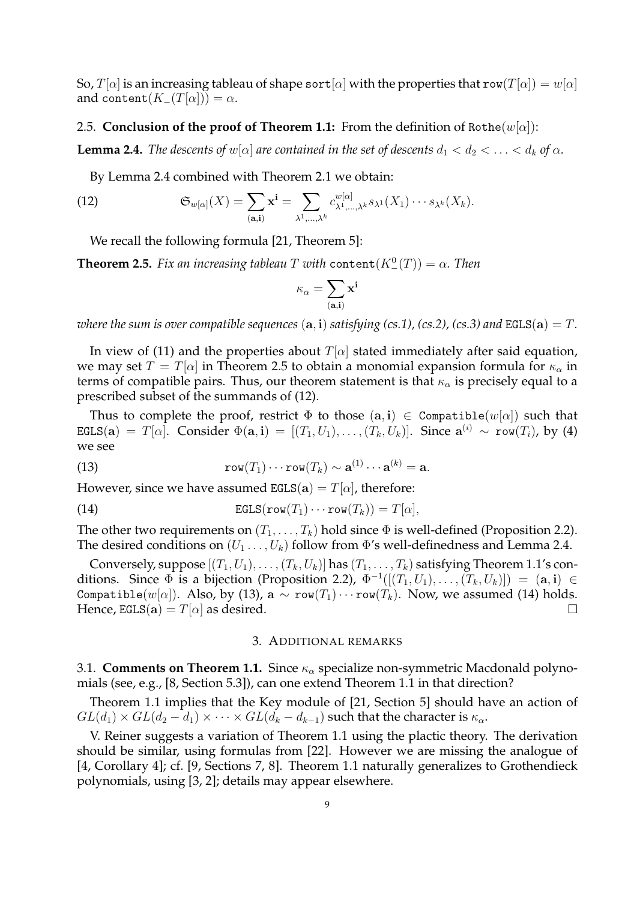So,  $T[\alpha]$  is an increasing tableau of shape sort  $[\alpha]$  with the properties that row( $T[\alpha]$ ) =  $w[\alpha]$ and content $(K_{-}(T[\alpha])) = \alpha$ .

### 2.5. **Conclusion of the proof of Theorem 1.1:** From the definition of Rothe $(w[\alpha])$ :

**Lemma 2.4.** *The descents of*  $w[\alpha]$  *are contained in the set of descents*  $d_1 < d_2 < \ldots < d_k$  *of*  $\alpha$ *.* 

By Lemma 2.4 combined with Theorem 2.1 we obtain:

(12) 
$$
\mathfrak{S}_{w[\alpha]}(X) = \sum_{(\mathbf{a},\mathbf{i})} \mathbf{x}^{\mathbf{i}} = \sum_{\lambda^1,\dots,\lambda^k} c_{\lambda^1,\dots,\lambda^k}^{w[\alpha]} s_{\lambda^1}(X_1) \cdots s_{\lambda^k}(X_k).
$$

We recall the following formula [21, Theorem 5]:

**Theorem 2.5.** *Fix an increasing tableau T with*  $\text{content}(K^0_-(T)) = \alpha$ . Then

$$
\kappa_\alpha = \sum_{({\mathbf a}, {\mathbf i})} {\mathbf x}^{\mathbf i}
$$

*where the sum is over compatible sequences*  $(a, i)$  *satisfying (cs.1), (cs.2), (cs.3) and* EGLS $(a) = T$ .

In view of (11) and the properties about  $T[\alpha]$  stated immediately after said equation, we may set  $T = T[\alpha]$  in Theorem 2.5 to obtain a monomial expansion formula for  $\kappa_{\alpha}$  in terms of compatible pairs. Thus, our theorem statement is that  $\kappa_{\alpha}$  is precisely equal to a prescribed subset of the summands of (12).

Thus to complete the proof, restrict  $\Phi$  to those  $(a, i) \in \text{Comparable}(w[\alpha])$  such that  $\texttt{EGLS}(\mathbf{a})~=~T[\alpha].$  Consider  $\Phi(\mathbf{a},\mathbf{i})~=~[(T_1,U_1),\ldots,(T_k,U_k)].$  Since  $\mathbf{a}^{(i)}~\sim~\texttt{row}(T_i)$ , by (4) we see

(13) 
$$
\mathbf{row}(T_1)\cdots\mathbf{row}(T_k)\sim \mathbf{a}^{(1)}\cdots\mathbf{a}^{(k)}=\mathbf{a}.
$$

However, since we have assumed  $EGLS(a) = T[\alpha]$ , therefore:

(14) 
$$
\text{EGLS}(\text{row}(T_1)\cdots \text{row}(T_k)) = T[\alpha],
$$

The other two requirements on  $(T_1, \ldots, T_k)$  hold since  $\Phi$  is well-defined (Proposition 2.2). The desired conditions on  $(U_1 \ldots, U_k)$  follow from  $\Phi$ 's well-definedness and Lemma 2.4.

Conversely, suppose  $[(T_1, U_1), \ldots, (T_k, U_k)]$  has  $(T_1, \ldots, T_k)$  satisfying Theorem 1.1's conditions. Since  $\Phi$  is a bijection (Proposition 2.2),  $\Phi^{-1}([T_1, U_1), \ldots, (T_k, U_k)]) = (\mathbf{a}, \mathbf{i}) \in$ Compatible(w[ $\alpha$ ]). Also, by (13), a  $\sim$  row( $T_1$ )···row( $T_k$ ). Now, we assumed (14) holds. Hence,  $EGLS(a) = T[\alpha]$  as desired.

#### 3. ADDITIONAL REMARKS

3.1. **Comments on Theorem 1.1.** Since  $\kappa_{\alpha}$  specialize non-symmetric Macdonald polynomials (see, e.g., [8, Section 5.3]), can one extend Theorem 1.1 in that direction?

Theorem 1.1 implies that the Key module of [21, Section 5] should have an action of  $GL(d_1) \times GL(d_2 - d_1) \times \cdots \times GL(d_k - d_{k-1})$  such that the character is  $\kappa_{\alpha}$ .

V. Reiner suggests a variation of Theorem 1.1 using the plactic theory. The derivation should be similar, using formulas from [22]. However we are missing the analogue of [4, Corollary 4]; cf. [9, Sections 7, 8]. Theorem 1.1 naturally generalizes to Grothendieck polynomials, using [3, 2]; details may appear elsewhere.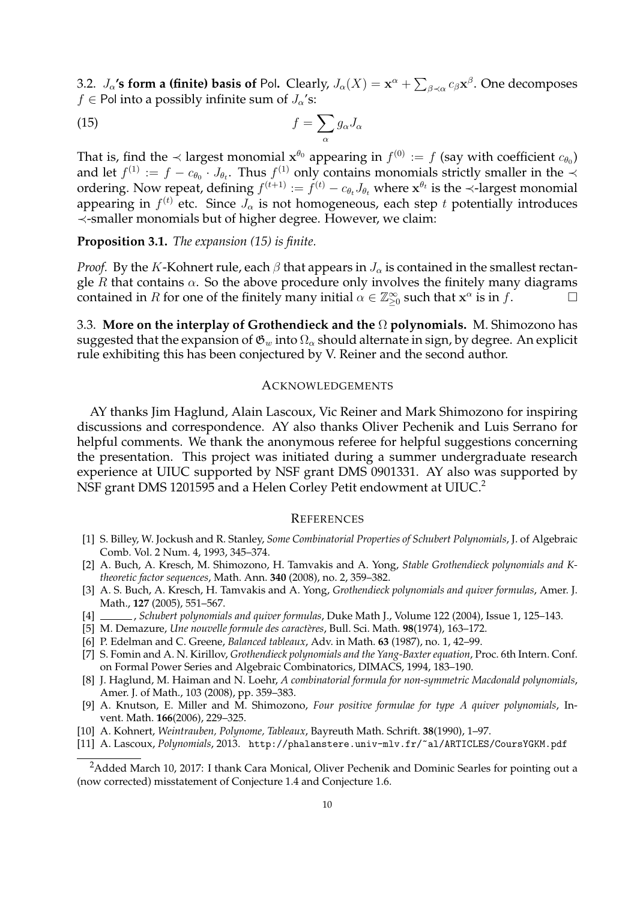3.2.  $J_{\alpha}$ '**s form a (finite) basis of** Pol. Clearly,  $J_{\alpha}(X) = \mathbf{x}^{\alpha} + \sum_{\beta \prec \alpha} c_{\beta} \mathbf{x}^{\beta}$ . One decomposes  $f \in$  Pol into a possibly infinite sum of  $J_{\alpha}$ 's:

$$
(15)\t\t\t f = \sum_{\alpha} g_{\alpha} J_{\alpha}
$$

That is, find the  $\prec$  largest monomial  $x^{\theta_0}$  appearing in  $f^{(0)} := f$  (say with coefficient  $c_{\theta_0}$ ) and let  $f^{(1)} := f - c_{\theta_0} \cdot J_{\theta_t}$ . Thus  $f^{(1)}$  only contains monomials strictly smaller in the  $\prec$ ordering. Now repeat, defining  $f^{(t+1)} := f^{(t)} - c_{\theta_t} J_{\theta_t}$  where  $\mathbf{x}^{\theta_t}$  is the  $\prec$ -largest monomial appearing in  $f^{(t)}$  etc. Since  $J_\alpha$  is not homogeneous, each step  $t$  potentially introduces ≺-smaller monomials but of higher degree. However, we claim:

**Proposition 3.1.** *The expansion (15) is finite.*

*Proof.* By the K-Kohnert rule, each  $\beta$  that appears in  $J_{\alpha}$  is contained in the smallest rectangle  $R$  that contains  $\alpha$ . So the above procedure only involves the finitely many diagrams contained in R for one of the finitely many initial  $\alpha \in \mathbb{Z}_{\geq 0}^{\infty}$  such that  $\mathbf{x}^{\alpha}$  is in f.

3.3. **More on the interplay of Grothendieck and the** Ω **polynomials.** M. Shimozono has suggested that the expansion of  $\mathfrak{G}_w$  into  $\Omega_\alpha$  should alternate in sign, by degree. An explicit rule exhibiting this has been conjectured by V. Reiner and the second author.

### ACKNOWLEDGEMENTS

AY thanks Jim Haglund, Alain Lascoux, Vic Reiner and Mark Shimozono for inspiring discussions and correspondence. AY also thanks Oliver Pechenik and Luis Serrano for helpful comments. We thank the anonymous referee for helpful suggestions concerning the presentation. This project was initiated during a summer undergraduate research experience at UIUC supported by NSF grant DMS 0901331. AY also was supported by NSF grant DMS 1201595 and a Helen Corley Petit endowment at UIUC.<sup>2</sup>

#### **REFERENCES**

- [1] S. Billey, W. Jockush and R. Stanley, *Some Combinatorial Properties of Schubert Polynomials*, J. of Algebraic Comb. Vol. 2 Num. 4, 1993, 345–374.
- [2] A. Buch, A. Kresch, M. Shimozono, H. Tamvakis and A. Yong, *Stable Grothendieck polynomials and Ktheoretic factor sequences*, Math. Ann. **340** (2008), no. 2, 359–382.
- [3] A. S. Buch, A. Kresch, H. Tamvakis and A. Yong, *Grothendieck polynomials and quiver formulas*, Amer. J. Math., **127** (2005), 551–567.
- [4] , *Schubert polynomials and quiver formulas*, Duke Math J., Volume 122 (2004), Issue 1, 125–143.
- [5] M. Demazure, *Une nouvelle formule des caract`eres*, Bull. Sci. Math. **98**(1974), 163–172.
- [6] P. Edelman and C. Greene, *Balanced tableaux*, Adv. in Math. **63** (1987), no. 1, 42–99.
- [7] S. Fomin and A. N. Kirillov, *Grothendieck polynomials and the Yang-Baxter equation*, Proc. 6th Intern. Conf. on Formal Power Series and Algebraic Combinatorics, DIMACS, 1994, 183–190.
- [8] J. Haglund, M. Haiman and N. Loehr, *A combinatorial formula for non-symmetric Macdonald polynomials*, Amer. J. of Math., 103 (2008), pp. 359–383.
- [9] A. Knutson, E. Miller and M. Shimozono, *Four positive formulae for type* A *quiver polynomials*, Invent. Math. **166**(2006), 229–325.
- [10] A. Kohnert, *Weintrauben, Polynome, Tableaux*, Bayreuth Math. Schrift. **38**(1990), 1–97.
- [11] A. Lascoux, *Polynomials*, 2013. http://phalanstere.univ-mlv.fr/~al/ARTICLES/CoursYGKM.pdf

<sup>&</sup>lt;sup>2</sup>Added March 10, 2017: I thank Cara Monical, Oliver Pechenik and Dominic Searles for pointing out a (now corrected) misstatement of Conjecture 1.4 and Conjecture 1.6.